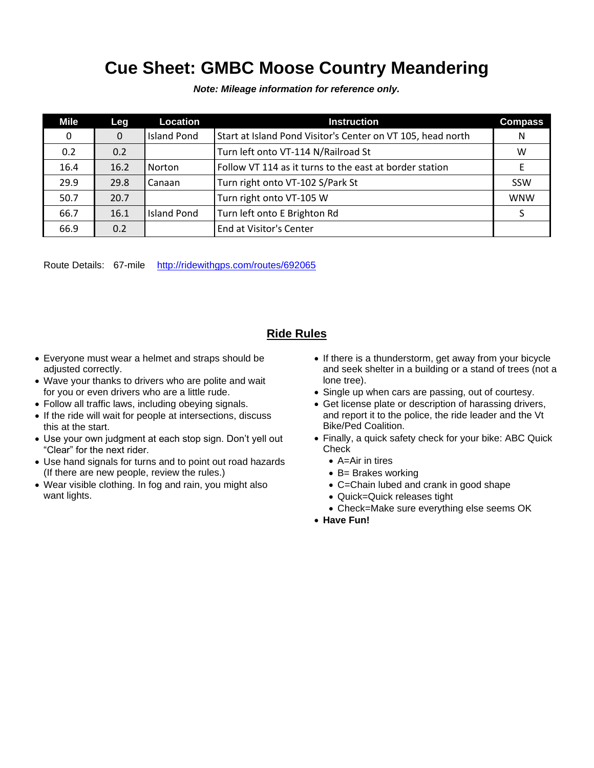## **Cue Sheet: GMBC Moose Country Meandering**

*Note: Mileage information for reference only.*

| Mile | Leg      | Location           | <b>Instruction</b>                                          | <b>Compass</b> |
|------|----------|--------------------|-------------------------------------------------------------|----------------|
| 0    | $\Omega$ | <b>Island Pond</b> | Start at Island Pond Visitor's Center on VT 105, head north | N              |
| 0.2  | 0.2      |                    | Turn left onto VT-114 N/Railroad St                         | W              |
| 16.4 | 16.2     | Norton             | Follow VT 114 as it turns to the east at border station     | E              |
| 29.9 | 29.8     | Canaan             | Turn right onto VT-102 S/Park St                            | SSW            |
| 50.7 | 20.7     |                    | Turn right onto VT-105 W                                    | <b>WNW</b>     |
| 66.7 | 16.1     | <b>Island Pond</b> | Turn left onto E Brighton Rd                                |                |
| 66.9 | 0.2      |                    | End at Visitor's Center                                     |                |

Route Details: 67-mile <http://ridewithgps.com/routes/692065>

## **Ride Rules**

- Everyone must wear a helmet and straps should be adjusted correctly.
- Wave your thanks to drivers who are polite and wait for you or even drivers who are a little rude.
- Follow all traffic laws, including obeying signals.
- If the ride will wait for people at intersections, discuss this at the start.
- Use your own judgment at each stop sign. Don't yell out "Clear" for the next rider.
- Use hand signals for turns and to point out road hazards (If there are new people, review the rules.)
- Wear visible clothing. In fog and rain, you might also want lights.
- If there is a thunderstorm, get away from your bicycle and seek shelter in a building or a stand of trees (not a lone tree).
- Single up when cars are passing, out of courtesy.
- Get license plate or description of harassing drivers, and report it to the police, the ride leader and the Vt Bike/Ped Coalition.
- Finally, a quick safety check for your bike: ABC Quick **Check** 
	- A=Air in tires
	- B= Brakes working
	- C=Chain lubed and crank in good shape
	- Quick=Quick releases tight
	- Check=Make sure everything else seems OK
- **Have Fun!**